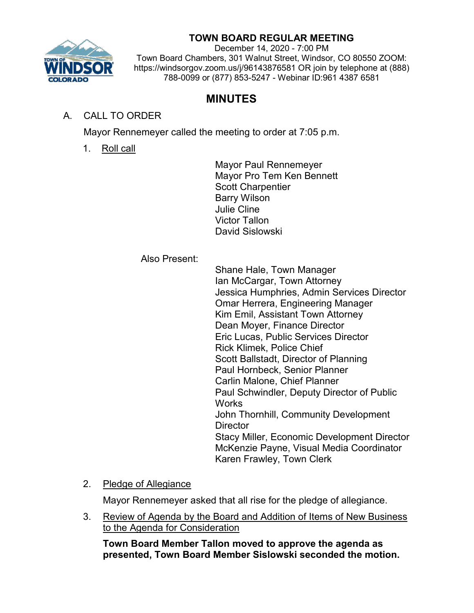

# **TOWN BOARD REGULAR MEETING**

December 14, 2020 - 7:00 PM Town Board Chambers, 301 Walnut Street, Windsor, CO 80550 ZOOM: https://windsorgov.zoom.us/j/96143876581 OR join by telephone at (888) 788-0099 or (877) 853-5247 - Webinar ID:961 4387 6581

# **MINUTES**

# A. CALL TO ORDER

Mayor Rennemeyer called the meeting to order at 7:05 p.m.

1. Roll call

Mayor Paul Rennemeyer Mayor Pro Tem Ken Bennett Scott Charpentier Barry Wilson Julie Cline Victor Tallon David Sislowski

#### Also Present:

Shane Hale, Town Manager Ian McCargar, Town Attorney Jessica Humphries, Admin Services Director Omar Herrera, Engineering Manager Kim Emil, Assistant Town Attorney Dean Moyer, Finance Director Eric Lucas, Public Services Director Rick Klimek, Police Chief Scott Ballstadt, Director of Planning Paul Hornbeck, Senior Planner Carlin Malone, Chief Planner Paul Schwindler, Deputy Director of Public **Works** John Thornhill, Community Development **Director** Stacy Miller, Economic Development Director McKenzie Payne, Visual Media Coordinator Karen Frawley, Town Clerk

2. Pledge of Allegiance

Mayor Rennemeyer asked that all rise for the pledge of allegiance.

3. Review of Agenda by the Board and Addition of Items of New Business to the Agenda for Consideration

**Town Board Member Tallon moved to approve the agenda as presented, Town Board Member Sislowski seconded the motion.**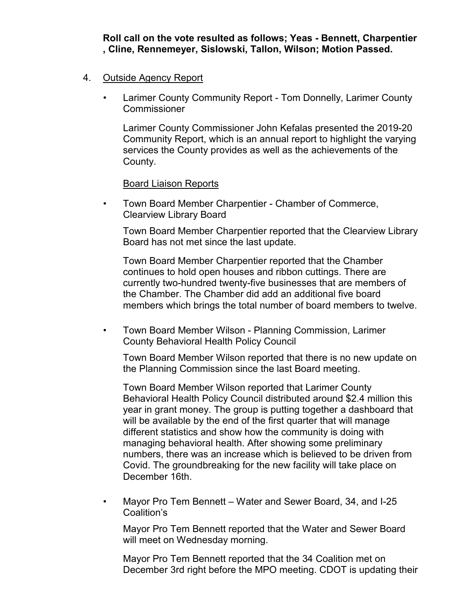**Roll call on the vote resulted as follows; Yeas - Bennett, Charpentier , Cline, Rennemeyer, Sislowski, Tallon, Wilson; Motion Passed.**

#### 4. Outside Agency Report

• Larimer County Community Report - Tom Donnelly, Larimer County **Commissioner** 

Larimer County Commissioner John Kefalas presented the 2019-20 Community Report, which is an annual report to highlight the varying services the County provides as well as the achievements of the County.

Board Liaison Reports

• Town Board Member Charpentier - Chamber of Commerce, Clearview Library Board

Town Board Member Charpentier reported that the Clearview Library Board has not met since the last update.

Town Board Member Charpentier reported that the Chamber continues to hold open houses and ribbon cuttings. There are currently two-hundred twenty-five businesses that are members of the Chamber. The Chamber did add an additional five board members which brings the total number of board members to twelve.

• Town Board Member Wilson - Planning Commission, Larimer County Behavioral Health Policy Council

Town Board Member Wilson reported that there is no new update on the Planning Commission since the last Board meeting.

Town Board Member Wilson reported that Larimer County Behavioral Health Policy Council distributed around \$2.4 million this year in grant money. The group is putting together a dashboard that will be available by the end of the first quarter that will manage different statistics and show how the community is doing with managing behavioral health. After showing some preliminary numbers, there was an increase which is believed to be driven from Covid. The groundbreaking for the new facility will take place on December 16th.

• Mayor Pro Tem Bennett – Water and Sewer Board, 34, and I-25 Coalition's

Mayor Pro Tem Bennett reported that the Water and Sewer Board will meet on Wednesday morning.

Mayor Pro Tem Bennett reported that the 34 Coalition met on December 3rd right before the MPO meeting. CDOT is updating their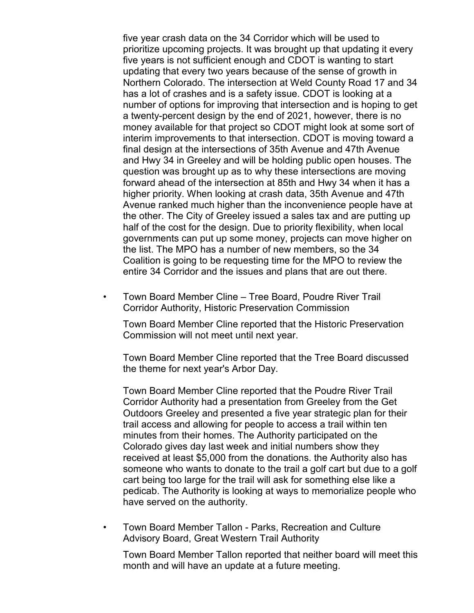five year crash data on the 34 Corridor which will be used to prioritize upcoming projects. It was brought up that updating it every five years is not sufficient enough and CDOT is wanting to start updating that every two years because of the sense of growth in Northern Colorado. The intersection at Weld County Road 17 and 34 has a lot of crashes and is a safety issue. CDOT is looking at a number of options for improving that intersection and is hoping to get a twenty-percent design by the end of 2021, however, there is no money available for that project so CDOT might look at some sort of interim improvements to that intersection. CDOT is moving toward a final design at the intersections of 35th Avenue and 47th Avenue and Hwy 34 in Greeley and will be holding public open houses. The question was brought up as to why these intersections are moving forward ahead of the intersection at 85th and Hwy 34 when it has a higher priority. When looking at crash data, 35th Avenue and 47th Avenue ranked much higher than the inconvenience people have at the other. The City of Greeley issued a sales tax and are putting up half of the cost for the design. Due to priority flexibility, when local governments can put up some money, projects can move higher on the list. The MPO has a number of new members, so the 34 Coalition is going to be requesting time for the MPO to review the entire 34 Corridor and the issues and plans that are out there.

• Town Board Member Cline – Tree Board, Poudre River Trail Corridor Authority, Historic Preservation Commission

Town Board Member Cline reported that the Historic Preservation Commission will not meet until next year.

Town Board Member Cline reported that the Tree Board discussed the theme for next year's Arbor Day.

Town Board Member Cline reported that the Poudre River Trail Corridor Authority had a presentation from Greeley from the Get Outdoors Greeley and presented a five year strategic plan for their trail access and allowing for people to access a trail within ten minutes from their homes. The Authority participated on the Colorado gives day last week and initial numbers show they received at least \$5,000 from the donations. the Authority also has someone who wants to donate to the trail a golf cart but due to a golf cart being too large for the trail will ask for something else like a pedicab. The Authority is looking at ways to memorialize people who have served on the authority.

• Town Board Member Tallon - Parks, Recreation and Culture Advisory Board, Great Western Trail Authority

Town Board Member Tallon reported that neither board will meet this month and will have an update at a future meeting.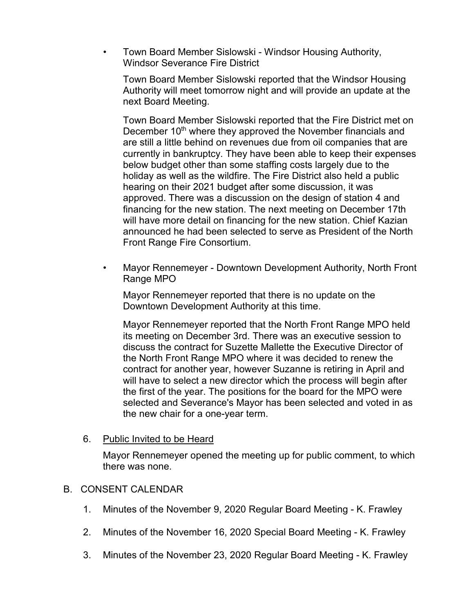• Town Board Member Sislowski - Windsor Housing Authority, Windsor Severance Fire District

Town Board Member Sislowski reported that the Windsor Housing Authority will meet tomorrow night and will provide an update at the next Board Meeting.

Town Board Member Sislowski reported that the Fire District met on December 10<sup>th</sup> where they approved the November financials and are still a little behind on revenues due from oil companies that are currently in bankruptcy. They have been able to keep their expenses below budget other than some staffing costs largely due to the holiday as well as the wildfire. The Fire District also held a public hearing on their 2021 budget after some discussion, it was approved. There was a discussion on the design of station 4 and financing for the new station. The next meeting on December 17th will have more detail on financing for the new station. Chief Kazian announced he had been selected to serve as President of the North Front Range Fire Consortium.

• Mayor Rennemeyer - Downtown Development Authority, North Front Range MPO

Mayor Rennemeyer reported that there is no update on the Downtown Development Authority at this time.

Mayor Rennemeyer reported that the North Front Range MPO held its meeting on December 3rd. There was an executive session to discuss the contract for Suzette Mallette the Executive Director of the North Front Range MPO where it was decided to renew the contract for another year, however Suzanne is retiring in April and will have to select a new director which the process will begin after the first of the year. The positions for the board for the MPO were selected and Severance's Mayor has been selected and voted in as the new chair for a one-year term.

6. Public Invited to be Heard

Mayor Rennemeyer opened the meeting up for public comment, to which there was none.

#### B. CONSENT CALENDAR

- 1. Minutes of the November 9, 2020 Regular Board Meeting K. Frawley
- 2. Minutes of the November 16, 2020 Special Board Meeting K. Frawley
- 3. Minutes of the November 23, 2020 Regular Board Meeting K. Frawley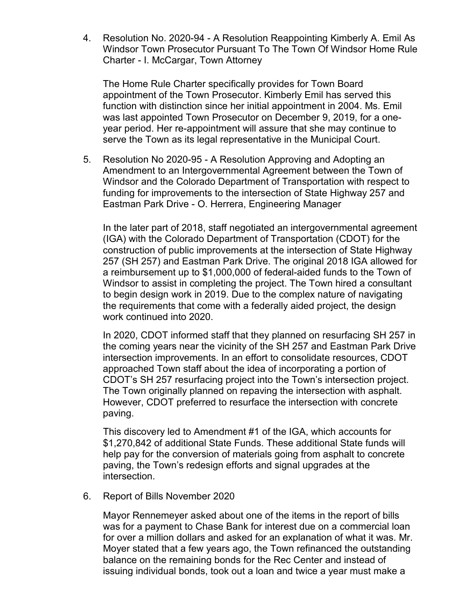4. Resolution No. 2020-94 - A Resolution Reappointing Kimberly A. Emil As Windsor Town Prosecutor Pursuant To The Town Of Windsor Home Rule Charter - I. McCargar, Town Attorney

The Home Rule Charter specifically provides for Town Board appointment of the Town Prosecutor. Kimberly Emil has served this function with distinction since her initial appointment in 2004. Ms. Emil was last appointed Town Prosecutor on December 9, 2019, for a oneyear period. Her re-appointment will assure that she may continue to serve the Town as its legal representative in the Municipal Court.

5. Resolution No 2020-95 - A Resolution Approving and Adopting an Amendment to an Intergovernmental Agreement between the Town of Windsor and the Colorado Department of Transportation with respect to funding for improvements to the intersection of State Highway 257 and Eastman Park Drive - O. Herrera, Engineering Manager

In the later part of 2018, staff negotiated an intergovernmental agreement (IGA) with the Colorado Department of Transportation (CDOT) for the construction of public improvements at the intersection of State Highway 257 (SH 257) and Eastman Park Drive. The original 2018 IGA allowed for a reimbursement up to \$1,000,000 of federal-aided funds to the Town of Windsor to assist in completing the project. The Town hired a consultant to begin design work in 2019. Due to the complex nature of navigating the requirements that come with a federally aided project, the design work continued into 2020.

In 2020, CDOT informed staff that they planned on resurfacing SH 257 in the coming years near the vicinity of the SH 257 and Eastman Park Drive intersection improvements. In an effort to consolidate resources, CDOT approached Town staff about the idea of incorporating a portion of CDOT's SH 257 resurfacing project into the Town's intersection project. The Town originally planned on repaving the intersection with asphalt. However, CDOT preferred to resurface the intersection with concrete paving.

This discovery led to Amendment #1 of the IGA, which accounts for \$1,270,842 of additional State Funds. These additional State funds will help pay for the conversion of materials going from asphalt to concrete paving, the Town's redesign efforts and signal upgrades at the intersection.

6. Report of Bills November 2020

Mayor Rennemeyer asked about one of the items in the report of bills was for a payment to Chase Bank for interest due on a commercial loan for over a million dollars and asked for an explanation of what it was. Mr. Moyer stated that a few years ago, the Town refinanced the outstanding balance on the remaining bonds for the Rec Center and instead of issuing individual bonds, took out a loan and twice a year must make a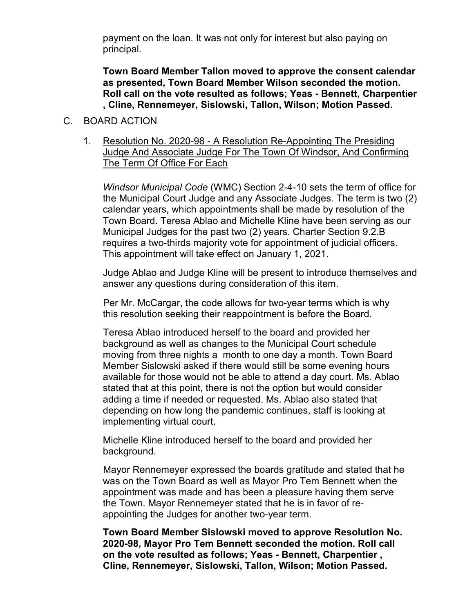payment on the loan. It was not only for interest but also paying on principal.

**Town Board Member Tallon moved to approve the consent calendar as presented, Town Board Member Wilson seconded the motion. Roll call on the vote resulted as follows; Yeas - Bennett, Charpentier , Cline, Rennemeyer, Sislowski, Tallon, Wilson; Motion Passed.**

#### C. BOARD ACTION

1. Resolution No. 2020-98 - A Resolution Re-Appointing The Presiding Judge And Associate Judge For The Town Of Windsor, And Confirming The Term Of Office For Each

*Windsor Municipal Code* (WMC) Section 2-4-10 sets the term of office for the Municipal Court Judge and any Associate Judges. The term is two (2) calendar years, which appointments shall be made by resolution of the Town Board. Teresa Ablao and Michelle Kline have been serving as our Municipal Judges for the past two (2) years. Charter Section 9.2.B requires a two-thirds majority vote for appointment of judicial officers. This appointment will take effect on January 1, 2021.

Judge Ablao and Judge Kline will be present to introduce themselves and answer any questions during consideration of this item.

Per Mr. McCargar, the code allows for two-year terms which is why this resolution seeking their reappointment is before the Board.

Teresa Ablao introduced herself to the board and provided her background as well as changes to the Municipal Court schedule moving from three nights a month to one day a month. Town Board Member Sislowski asked if there would still be some evening hours available for those would not be able to attend a day court. Ms. Ablao stated that at this point, there is not the option but would consider adding a time if needed or requested. Ms. Ablao also stated that depending on how long the pandemic continues, staff is looking at implementing virtual court.

Michelle Kline introduced herself to the board and provided her background.

Mayor Rennemeyer expressed the boards gratitude and stated that he was on the Town Board as well as Mayor Pro Tem Bennett when the appointment was made and has been a pleasure having them serve the Town. Mayor Rennemeyer stated that he is in favor of reappointing the Judges for another two-year term.

**Town Board Member Sislowski moved to approve Resolution No. 2020-98, Mayor Pro Tem Bennett seconded the motion. Roll call on the vote resulted as follows; Yeas - Bennett, Charpentier , Cline, Rennemeyer, Sislowski, Tallon, Wilson; Motion Passed.**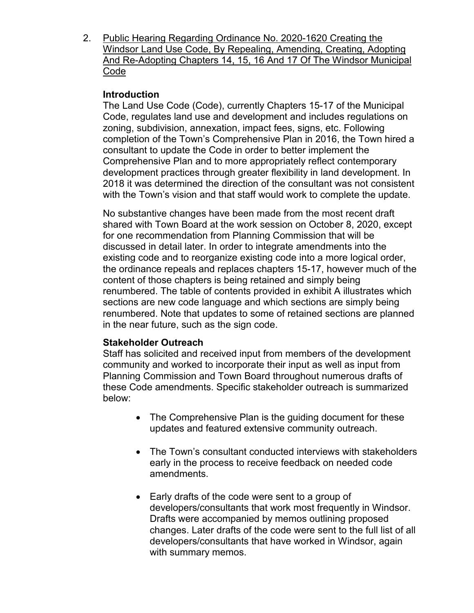2. Public Hearing Regarding Ordinance No. 2020-1620 Creating the Windsor Land Use Code, By Repealing, Amending, Creating, Adopting And Re-Adopting Chapters 14, 15, 16 And 17 Of The Windsor Municipal Code

# **Introduction**

The Land Use Code (Code), currently Chapters 15-17 of the Municipal Code, regulates land use and development and includes regulations on zoning, subdivision, annexation, impact fees, signs, etc. Following completion of the Town's Comprehensive Plan in 2016, the Town hired a consultant to update the Code in order to better implement the Comprehensive Plan and to more appropriately reflect contemporary development practices through greater flexibility in land development. In 2018 it was determined the direction of the consultant was not consistent with the Town's vision and that staff would work to complete the update.

No substantive changes have been made from the most recent draft shared with Town Board at the work session on October 8, 2020, except for one recommendation from Planning Commission that will be discussed in detail later. In order to integrate amendments into the existing code and to reorganize existing code into a more logical order, the ordinance repeals and replaces chapters 15-17, however much of the content of those chapters is being retained and simply being renumbered. The table of contents provided in exhibit A illustrates which sections are new code language and which sections are simply being renumbered. Note that updates to some of retained sections are planned in the near future, such as the sign code.

# **Stakeholder Outreach**

Staff has solicited and received input from members of the development community and worked to incorporate their input as well as input from Planning Commission and Town Board throughout numerous drafts of these Code amendments. Specific stakeholder outreach is summarized below:

- The Comprehensive Plan is the guiding document for these updates and featured extensive community outreach.
- The Town's consultant conducted interviews with stakeholders early in the process to receive feedback on needed code amendments.
- Early drafts of the code were sent to a group of developers/consultants that work most frequently in Windsor. Drafts were accompanied by memos outlining proposed changes. Later drafts of the code were sent to the full list of all developers/consultants that have worked in Windsor, again with summary memos.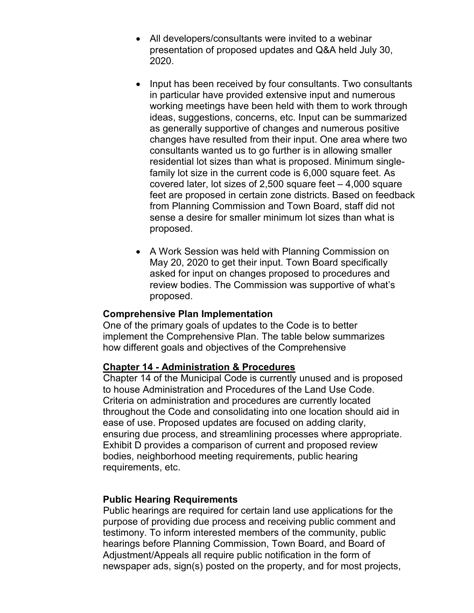- All developers/consultants were invited to a webinar presentation of proposed updates and Q&A held July 30, 2020.
- Input has been received by four consultants. Two consultants in particular have provided extensive input and numerous working meetings have been held with them to work through ideas, suggestions, concerns, etc. Input can be summarized as generally supportive of changes and numerous positive changes have resulted from their input. One area where two consultants wanted us to go further is in allowing smaller residential lot sizes than what is proposed. Minimum singlefamily lot size in the current code is 6,000 square feet. As covered later, lot sizes of 2,500 square feet – 4,000 square feet are proposed in certain zone districts. Based on feedback from Planning Commission and Town Board, staff did not sense a desire for smaller minimum lot sizes than what is proposed.
- A Work Session was held with Planning Commission on May 20, 2020 to get their input. Town Board specifically asked for input on changes proposed to procedures and review bodies. The Commission was supportive of what's proposed.

#### **Comprehensive Plan Implementation**

One of the primary goals of updates to the Code is to better implement the Comprehensive Plan. The table below summarizes how different goals and objectives of the Comprehensive

# **Chapter 14 - Administration & Procedures**

Chapter 14 of the Municipal Code is currently unused and is proposed to house Administration and Procedures of the Land Use Code. Criteria on administration and procedures are currently located throughout the Code and consolidating into one location should aid in ease of use. Proposed updates are focused on adding clarity, ensuring due process, and streamlining processes where appropriate. Exhibit D provides a comparison of current and proposed review bodies, neighborhood meeting requirements, public hearing requirements, etc.

#### **Public Hearing Requirements**

Public hearings are required for certain land use applications for the purpose of providing due process and receiving public comment and testimony. To inform interested members of the community, public hearings before Planning Commission, Town Board, and Board of Adjustment/Appeals all require public notification in the form of newspaper ads, sign(s) posted on the property, and for most projects,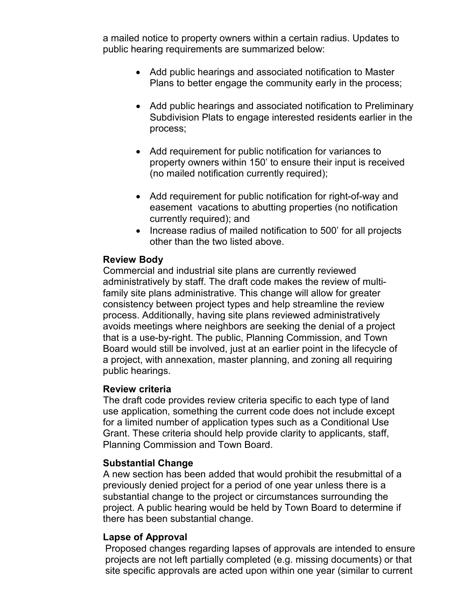a mailed notice to property owners within a certain radius. Updates to public hearing requirements are summarized below:

- Add public hearings and associated notification to Master Plans to better engage the community early in the process;
- Add public hearings and associated notification to Preliminary Subdivision Plats to engage interested residents earlier in the process;
- Add requirement for public notification for variances to property owners within 150' to ensure their input is received (no mailed notification currently required);
- Add requirement for public notification for right-of-way and easement vacations to abutting properties (no notification currently required); and
- Increase radius of mailed notification to 500' for all projects other than the two listed above.

#### **Review Body**

Commercial and industrial site plans are currently reviewed administratively by staff. The draft code makes the review of multifamily site plans administrative. This change will allow for greater consistency between project types and help streamline the review process. Additionally, having site plans reviewed administratively avoids meetings where neighbors are seeking the denial of a project that is a use-by-right. The public, Planning Commission, and Town Board would still be involved, just at an earlier point in the lifecycle of a project, with annexation, master planning, and zoning all requiring public hearings.

#### **Review criteria**

The draft code provides review criteria specific to each type of land use application, something the current code does not include except for a limited number of application types such as a Conditional Use Grant. These criteria should help provide clarity to applicants, staff, Planning Commission and Town Board.

# **Substantial Change**

A new section has been added that would prohibit the resubmittal of a previously denied project for a period of one year unless there is a substantial change to the project or circumstances surrounding the project. A public hearing would be held by Town Board to determine if there has been substantial change.

# **Lapse of Approval**

Proposed changes regarding lapses of approvals are intended to ensure projects are not left partially completed (e.g. missing documents) or that site specific approvals are acted upon within one year (similar to current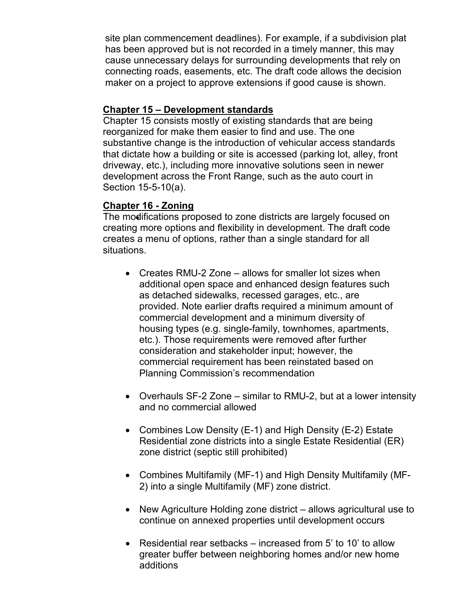site plan commencement deadlines). For example, if a subdivision plat has been approved but is not recorded in a timely manner, this may cause unnecessary delays for surrounding developments that rely on connecting roads, easements, etc. The draft code allows the decision maker on a project to approve extensions if good cause is shown.

### **Chapter 15 – Development standards**

Chapter 15 consists mostly of existing standards that are being reorganized for make them easier to find and use. The one substantive change is the introduction of vehicular access standards that dictate how a building or site is accessed (parking lot, alley, front driveway, etc.), including more innovative solutions seen in newer development across the Front Range, such as the auto court in Section 15-5-10(a).

#### **Chapter 16 - Zoning**

The modifications proposed to zone districts are largely focused on creating more options and flexibility in development. The draft code creates a menu of options, rather than a single standard for all situations.

- Creates RMU-2 Zone allows for smaller lot sizes when additional open space and enhanced design features such as detached sidewalks, recessed garages, etc., are provided. Note earlier drafts required a minimum amount of commercial development and a minimum diversity of housing types (e.g. single-family, townhomes, apartments, etc.). Those requirements were removed after further consideration and stakeholder input; however, the commercial requirement has been reinstated based on Planning Commission's recommendation
- Overhauls SF-2 Zone similar to RMU-2, but at a lower intensity and no commercial allowed
- Combines Low Density (E-1) and High Density (E-2) Estate Residential zone districts into a single Estate Residential (ER) zone district (septic still prohibited)
- Combines Multifamily (MF-1) and High Density Multifamily (MF-2) into a single Multifamily (MF) zone district.
- New Agriculture Holding zone district allows agricultural use to continue on annexed properties until development occurs
- Residential rear setbacks increased from 5' to 10' to allow greater buffer between neighboring homes and/or new home additions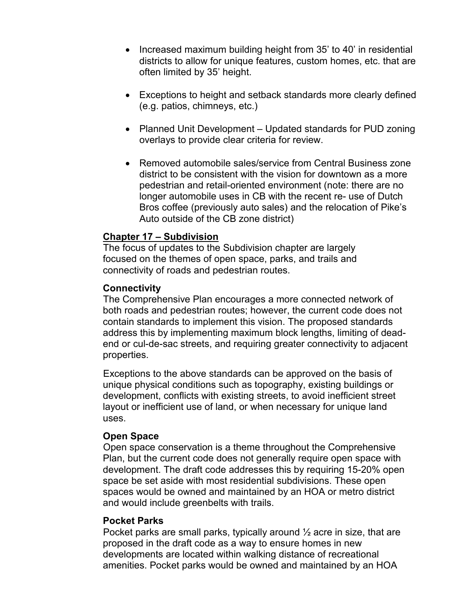- Increased maximum building height from 35' to 40' in residential districts to allow for unique features, custom homes, etc. that are often limited by 35' height.
- Exceptions to height and setback standards more clearly defined (e.g. patios, chimneys, etc.)
- Planned Unit Development Updated standards for PUD zoning overlays to provide clear criteria for review.
- Removed automobile sales/service from Central Business zone district to be consistent with the vision for downtown as a more pedestrian and retail-oriented environment (note: there are no longer automobile uses in CB with the recent re- use of Dutch Bros coffee (previously auto sales) and the relocation of Pike's Auto outside of the CB zone district)

#### **Chapter 17 – Subdivision**

The focus of updates to the Subdivision chapter are largely focused on the themes of open space, parks, and trails and connectivity of roads and pedestrian routes.

#### **Connectivity**

The Comprehensive Plan encourages a more connected network of both roads and pedestrian routes; however, the current code does not contain standards to implement this vision. The proposed standards address this by implementing maximum block lengths, limiting of deadend or cul-de-sac streets, and requiring greater connectivity to adjacent properties.

Exceptions to the above standards can be approved on the basis of unique physical conditions such as topography, existing buildings or development, conflicts with existing streets, to avoid inefficient street layout or inefficient use of land, or when necessary for unique land uses.

#### **Open Space**

Open space conservation is a theme throughout the Comprehensive Plan, but the current code does not generally require open space with development. The draft code addresses this by requiring 15-20% open space be set aside with most residential subdivisions. These open spaces would be owned and maintained by an HOA or metro district and would include greenbelts with trails.

#### **Pocket Parks**

Pocket parks are small parks, typically around  $\frac{1}{2}$  acre in size, that are proposed in the draft code as a way to ensure homes in new developments are located within walking distance of recreational amenities. Pocket parks would be owned and maintained by an HOA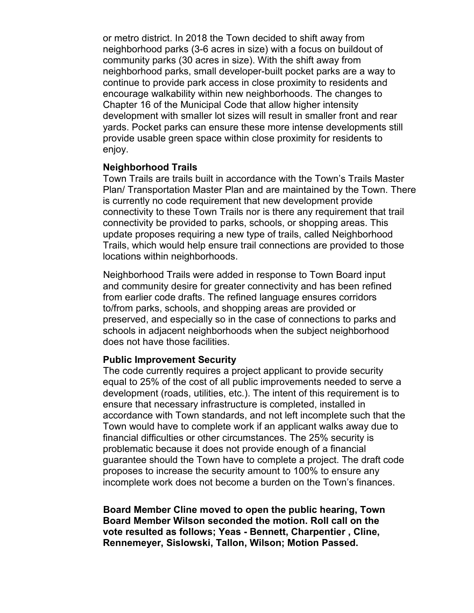or metro district. In 2018 the Town decided to shift away from neighborhood parks (3-6 acres in size) with a focus on buildout of community parks (30 acres in size). With the shift away from neighborhood parks, small developer-built pocket parks are a way to continue to provide park access in close proximity to residents and encourage walkability within new neighborhoods. The changes to Chapter 16 of the Municipal Code that allow higher intensity development with smaller lot sizes will result in smaller front and rear yards. Pocket parks can ensure these more intense developments still provide usable green space within close proximity for residents to enjoy.

#### **Neighborhood Trails**

Town Trails are trails built in accordance with the Town's Trails Master Plan/ Transportation Master Plan and are maintained by the Town. There is currently no code requirement that new development provide connectivity to these Town Trails nor is there any requirement that trail connectivity be provided to parks, schools, or shopping areas. This update proposes requiring a new type of trails, called Neighborhood Trails, which would help ensure trail connections are provided to those locations within neighborhoods.

Neighborhood Trails were added in response to Town Board input and community desire for greater connectivity and has been refined from earlier code drafts. The refined language ensures corridors to/from parks, schools, and shopping areas are provided or preserved, and especially so in the case of connections to parks and schools in adjacent neighborhoods when the subject neighborhood does not have those facilities.

#### **Public Improvement Security**

The code currently requires a project applicant to provide security equal to 25% of the cost of all public improvements needed to serve a development (roads, utilities, etc.). The intent of this requirement is to ensure that necessary infrastructure is completed, installed in accordance with Town standards, and not left incomplete such that the Town would have to complete work if an applicant walks away due to financial difficulties or other circumstances. The 25% security is problematic because it does not provide enough of a financial guarantee should the Town have to complete a project. The draft code proposes to increase the security amount to 100% to ensure any incomplete work does not become a burden on the Town's finances.

**Board Member Cline moved to open the public hearing, Town Board Member Wilson seconded the motion. Roll call on the vote resulted as follows; Yeas - Bennett, Charpentier , Cline, Rennemeyer, Sislowski, Tallon, Wilson; Motion Passed.**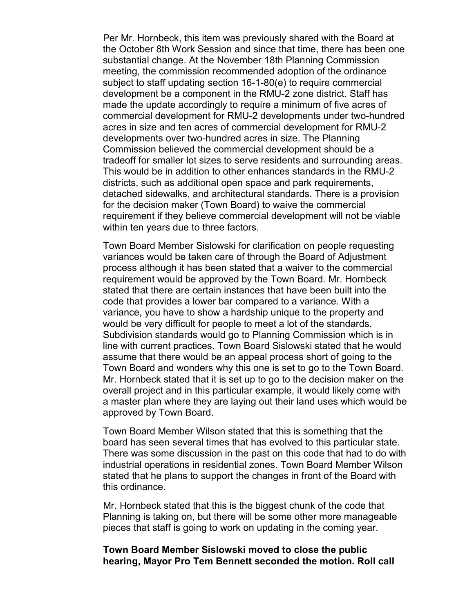Per Mr. Hornbeck, this item was previously shared with the Board at the October 8th Work Session and since that time, there has been one substantial change. At the November 18th Planning Commission meeting, the commission recommended adoption of the ordinance subject to staff updating section 16-1-80(e) to require commercial development be a component in the RMU-2 zone district. Staff has made the update accordingly to require a minimum of five acres of commercial development for RMU-2 developments under two-hundred acres in size and ten acres of commercial development for RMU-2 developments over two-hundred acres in size. The Planning Commission believed the commercial development should be a tradeoff for smaller lot sizes to serve residents and surrounding areas. This would be in addition to other enhances standards in the RMU-2 districts, such as additional open space and park requirements, detached sidewalks, and architectural standards. There is a provision for the decision maker (Town Board) to waive the commercial requirement if they believe commercial development will not be viable within ten years due to three factors.

Town Board Member Sislowski for clarification on people requesting variances would be taken care of through the Board of Adjustment process although it has been stated that a waiver to the commercial requirement would be approved by the Town Board. Mr. Hornbeck stated that there are certain instances that have been built into the code that provides a lower bar compared to a variance. With a variance, you have to show a hardship unique to the property and would be very difficult for people to meet a lot of the standards. Subdivision standards would go to Planning Commission which is in line with current practices. Town Board Sislowski stated that he would assume that there would be an appeal process short of going to the Town Board and wonders why this one is set to go to the Town Board. Mr. Hornbeck stated that it is set up to go to the decision maker on the overall project and in this particular example, it would likely come with a master plan where they are laying out their land uses which would be approved by Town Board.

Town Board Member Wilson stated that this is something that the board has seen several times that has evolved to this particular state. There was some discussion in the past on this code that had to do with industrial operations in residential zones. Town Board Member Wilson stated that he plans to support the changes in front of the Board with this ordinance.

Mr. Hornbeck stated that this is the biggest chunk of the code that Planning is taking on, but there will be some other more manageable pieces that staff is going to work on updating in the coming year.

**Town Board Member Sislowski moved to close the public hearing, Mayor Pro Tem Bennett seconded the motion. Roll call**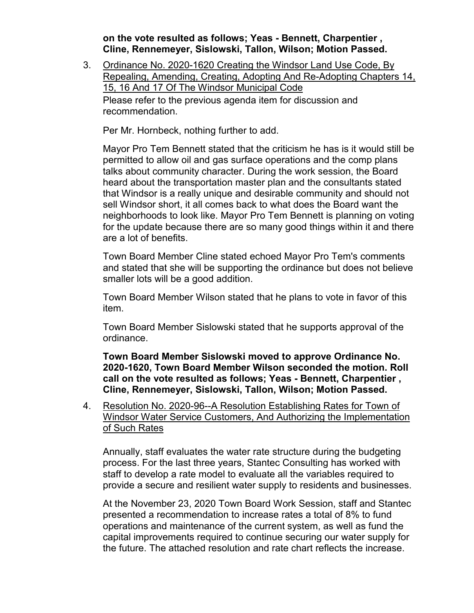**on the vote resulted as follows; Yeas - Bennett, Charpentier , Cline, Rennemeyer, Sislowski, Tallon, Wilson; Motion Passed.**

3. Ordinance No. 2020-1620 Creating the Windsor Land Use Code, By Repealing, Amending, Creating, Adopting And Re-Adopting Chapters 14, 15, 16 And 17 Of The Windsor Municipal Code Please refer to the previous agenda item for discussion and recommendation.

Per Mr. Hornbeck, nothing further to add.

Mayor Pro Tem Bennett stated that the criticism he has is it would still be permitted to allow oil and gas surface operations and the comp plans talks about community character. During the work session, the Board heard about the transportation master plan and the consultants stated that Windsor is a really unique and desirable community and should not sell Windsor short, it all comes back to what does the Board want the neighborhoods to look like. Mayor Pro Tem Bennett is planning on voting for the update because there are so many good things within it and there are a lot of benefits.

Town Board Member Cline stated echoed Mayor Pro Tem's comments and stated that she will be supporting the ordinance but does not believe smaller lots will be a good addition.

Town Board Member Wilson stated that he plans to vote in favor of this item.

Town Board Member Sislowski stated that he supports approval of the ordinance.

**Town Board Member Sislowski moved to approve Ordinance No. 2020-1620, Town Board Member Wilson seconded the motion. Roll call on the vote resulted as follows; Yeas - Bennett, Charpentier , Cline, Rennemeyer, Sislowski, Tallon, Wilson; Motion Passed.**

4. Resolution No. 2020-96--A Resolution Establishing Rates for Town of Windsor Water Service Customers, And Authorizing the Implementation of Such Rates

Annually, staff evaluates the water rate structure during the budgeting process. For the last three years, Stantec Consulting has worked with staff to develop a rate model to evaluate all the variables required to provide a secure and resilient water supply to residents and businesses.

At the November 23, 2020 Town Board Work Session, staff and Stantec presented a recommendation to increase rates a total of 8% to fund operations and maintenance of the current system, as well as fund the capital improvements required to continue securing our water supply for the future. The attached resolution and rate chart reflects the increase.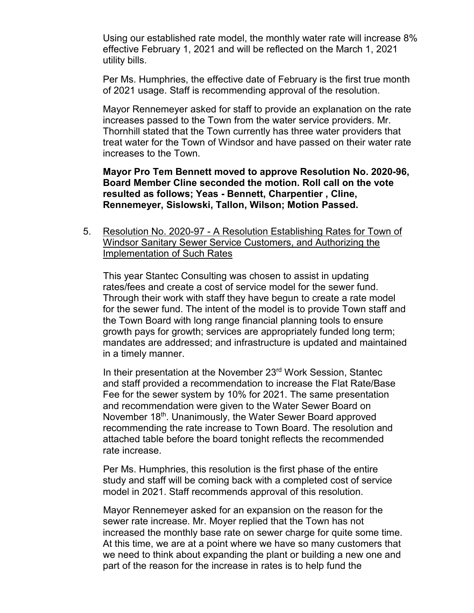Using our established rate model, the monthly water rate will increase 8% effective February 1, 2021 and will be reflected on the March 1, 2021 utility bills.

Per Ms. Humphries, the effective date of February is the first true month of 2021 usage. Staff is recommending approval of the resolution.

Mayor Rennemeyer asked for staff to provide an explanation on the rate increases passed to the Town from the water service providers. Mr. Thornhill stated that the Town currently has three water providers that treat water for the Town of Windsor and have passed on their water rate increases to the Town.

**Mayor Pro Tem Bennett moved to approve Resolution No. 2020-96, Board Member Cline seconded the motion. Roll call on the vote resulted as follows; Yeas - Bennett, Charpentier , Cline, Rennemeyer, Sislowski, Tallon, Wilson; Motion Passed.**

5. Resolution No. 2020-97 - A Resolution Establishing Rates for Town of Windsor Sanitary Sewer Service Customers, and Authorizing the Implementation of Such Rates

This year Stantec Consulting was chosen to assist in updating rates/fees and create a cost of service model for the sewer fund. Through their work with staff they have begun to create a rate model for the sewer fund. The intent of the model is to provide Town staff and the Town Board with long range financial planning tools to ensure growth pays for growth; services are appropriately funded long term; mandates are addressed; and infrastructure is updated and maintained in a timely manner.

In their presentation at the November 23rd Work Session, Stantec and staff provided a recommendation to increase the Flat Rate/Base Fee for the sewer system by 10% for 2021. The same presentation and recommendation were given to the Water Sewer Board on November 18<sup>th</sup>. Unanimously, the Water Sewer Board approved recommending the rate increase to Town Board. The resolution and attached table before the board tonight reflects the recommended rate increase.

Per Ms. Humphries, this resolution is the first phase of the entire study and staff will be coming back with a completed cost of service model in 2021. Staff recommends approval of this resolution.

Mayor Rennemeyer asked for an expansion on the reason for the sewer rate increase. Mr. Moyer replied that the Town has not increased the monthly base rate on sewer charge for quite some time. At this time, we are at a point where we have so many customers that we need to think about expanding the plant or building a new one and part of the reason for the increase in rates is to help fund the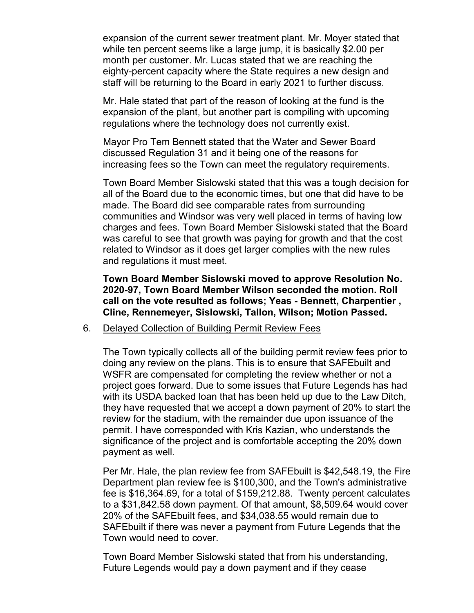expansion of the current sewer treatment plant. Mr. Moyer stated that while ten percent seems like a large jump, it is basically \$2.00 per month per customer. Mr. Lucas stated that we are reaching the eighty-percent capacity where the State requires a new design and staff will be returning to the Board in early 2021 to further discuss.

Mr. Hale stated that part of the reason of looking at the fund is the expansion of the plant, but another part is compiling with upcoming regulations where the technology does not currently exist.

Mayor Pro Tem Bennett stated that the Water and Sewer Board discussed Regulation 31 and it being one of the reasons for increasing fees so the Town can meet the regulatory requirements.

Town Board Member Sislowski stated that this was a tough decision for all of the Board due to the economic times, but one that did have to be made. The Board did see comparable rates from surrounding communities and Windsor was very well placed in terms of having low charges and fees. Town Board Member Sislowski stated that the Board was careful to see that growth was paying for growth and that the cost related to Windsor as it does get larger complies with the new rules and regulations it must meet.

**Town Board Member Sislowski moved to approve Resolution No. 2020-97, Town Board Member Wilson seconded the motion. Roll call on the vote resulted as follows; Yeas - Bennett, Charpentier , Cline, Rennemeyer, Sislowski, Tallon, Wilson; Motion Passed.**

6. Delayed Collection of Building Permit Review Fees

The Town typically collects all of the building permit review fees prior to doing any review on the plans. This is to ensure that SAFEbuilt and WSFR are compensated for completing the review whether or not a project goes forward. Due to some issues that Future Legends has had with its USDA backed loan that has been held up due to the Law Ditch, they have requested that we accept a down payment of 20% to start the review for the stadium, with the remainder due upon issuance of the permit. I have corresponded with Kris Kazian, who understands the significance of the project and is comfortable accepting the 20% down payment as well.

Per Mr. Hale, the plan review fee from SAFEbuilt is \$42,548.19, the Fire Department plan review fee is \$100,300, and the Town's administrative fee is \$16,364.69, for a total of \$159,212.88. Twenty percent calculates to a \$31,842.58 down payment. Of that amount, \$8,509.64 would cover 20% of the SAFEbuilt fees, and \$34,038.55 would remain due to SAFEbuilt if there was never a payment from Future Legends that the Town would need to cover.

Town Board Member Sislowski stated that from his understanding, Future Legends would pay a down payment and if they cease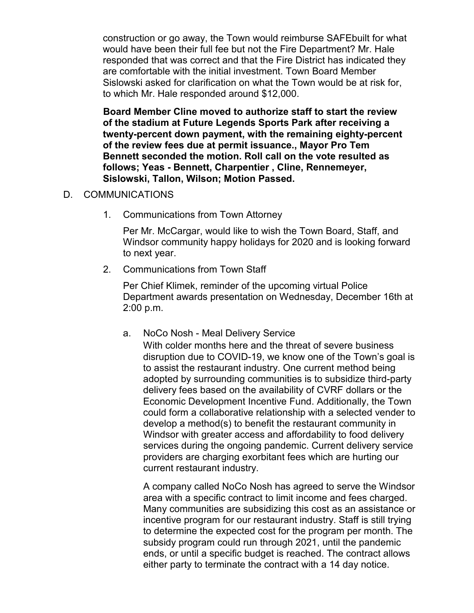construction or go away, the Town would reimburse SAFEbuilt for what would have been their full fee but not the Fire Department? Mr. Hale responded that was correct and that the Fire District has indicated they are comfortable with the initial investment. Town Board Member Sislowski asked for clarification on what the Town would be at risk for, to which Mr. Hale responded around \$12,000.

**Board Member Cline moved to authorize staff to start the review of the stadium at Future Legends Sports Park after receiving a twenty-percent down payment, with the remaining eighty-percent of the review fees due at permit issuance., Mayor Pro Tem Bennett seconded the motion. Roll call on the vote resulted as follows; Yeas - Bennett, Charpentier , Cline, Rennemeyer, Sislowski, Tallon, Wilson; Motion Passed.**

# D. COMMUNICATIONS

1. Communications from Town Attorney

Per Mr. McCargar, would like to wish the Town Board, Staff, and Windsor community happy holidays for 2020 and is looking forward to next year.

2. Communications from Town Staff

Per Chief Klimek, reminder of the upcoming virtual Police Department awards presentation on Wednesday, December 16th at 2:00 p.m.

a. NoCo Nosh - Meal Delivery Service

With colder months here and the threat of severe business disruption due to COVID-19, we know one of the Town's goal is to assist the restaurant industry. One current method being adopted by surrounding communities is to subsidize third-party delivery fees based on the availability of CVRF dollars or the Economic Development Incentive Fund. Additionally, the Town could form a collaborative relationship with a selected vender to develop a method(s) to benefit the restaurant community in Windsor with greater access and affordability to food delivery services during the ongoing pandemic. Current delivery service providers are charging exorbitant fees which are hurting our current restaurant industry.

A company called NoCo Nosh has agreed to serve the Windsor area with a specific contract to limit income and fees charged. Many communities are subsidizing this cost as an assistance or incentive program for our restaurant industry. Staff is still trying to determine the expected cost for the program per month. The subsidy program could run through 2021, until the pandemic ends, or until a specific budget is reached. The contract allows either party to terminate the contract with a 14 day notice.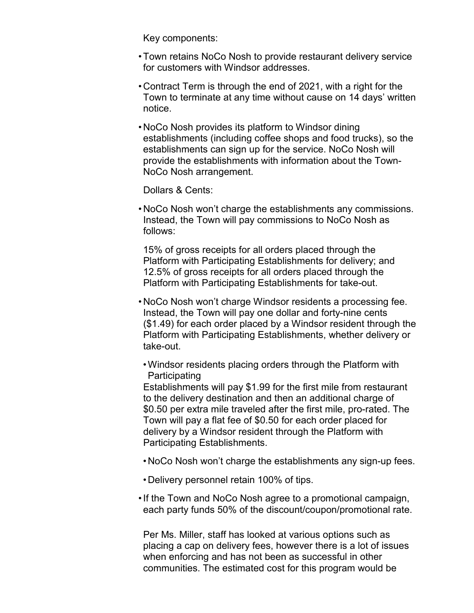Key components:

- •Town retains NoCo Nosh to provide restaurant delivery service for customers with Windsor addresses.
- Contract Term is through the end of 2021, with a right for the Town to terminate at any time without cause on 14 days' written notice.
- NoCo Nosh provides its platform to Windsor dining establishments (including coffee shops and food trucks), so the establishments can sign up for the service. NoCo Nosh will provide the establishments with information about the Town-NoCo Nosh arrangement.

Dollars & Cents:

• NoCo Nosh won't charge the establishments any commissions. Instead, the Town will pay commissions to NoCo Nosh as follows:

15% of gross receipts for all orders placed through the Platform with Participating Establishments for delivery; and 12.5% of gross receipts for all orders placed through the Platform with Participating Establishments for take-out.

- NoCo Nosh won't charge Windsor residents a processing fee. Instead, the Town will pay one dollar and forty-nine cents (\$1.49) for each order placed by a Windsor resident through the Platform with Participating Establishments, whether delivery or take-out.
- •Windsor residents placing orders through the Platform with **Participating**

Establishments will pay \$1.99 for the first mile from restaurant to the delivery destination and then an additional charge of \$0.50 per extra mile traveled after the first mile, pro-rated. The Town will pay a flat fee of \$0.50 for each order placed for delivery by a Windsor resident through the Platform with Participating Establishments.

- NoCo Nosh won't charge the establishments any sign-up fees.
- Delivery personnel retain 100% of tips.
- •If the Town and NoCo Nosh agree to a promotional campaign, each party funds 50% of the discount/coupon/promotional rate.

Per Ms. Miller, staff has looked at various options such as placing a cap on delivery fees, however there is a lot of issues when enforcing and has not been as successful in other communities. The estimated cost for this program would be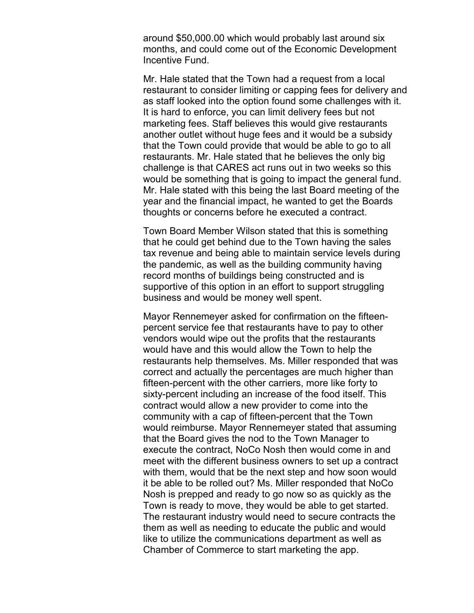around \$50,000.00 which would probably last around six months, and could come out of the Economic Development Incentive Fund.

Mr. Hale stated that the Town had a request from a local restaurant to consider limiting or capping fees for delivery and as staff looked into the option found some challenges with it. It is hard to enforce, you can limit delivery fees but not marketing fees. Staff believes this would give restaurants another outlet without huge fees and it would be a subsidy that the Town could provide that would be able to go to all restaurants. Mr. Hale stated that he believes the only big challenge is that CARES act runs out in two weeks so this would be something that is going to impact the general fund. Mr. Hale stated with this being the last Board meeting of the year and the financial impact, he wanted to get the Boards thoughts or concerns before he executed a contract.

Town Board Member Wilson stated that this is something that he could get behind due to the Town having the sales tax revenue and being able to maintain service levels during the pandemic, as well as the building community having record months of buildings being constructed and is supportive of this option in an effort to support struggling business and would be money well spent.

Mayor Rennemeyer asked for confirmation on the fifteenpercent service fee that restaurants have to pay to other vendors would wipe out the profits that the restaurants would have and this would allow the Town to help the restaurants help themselves. Ms. Miller responded that was correct and actually the percentages are much higher than fifteen-percent with the other carriers, more like forty to sixty-percent including an increase of the food itself. This contract would allow a new provider to come into the community with a cap of fifteen-percent that the Town would reimburse. Mayor Rennemeyer stated that assuming that the Board gives the nod to the Town Manager to execute the contract, NoCo Nosh then would come in and meet with the different business owners to set up a contract with them, would that be the next step and how soon would it be able to be rolled out? Ms. Miller responded that NoCo Nosh is prepped and ready to go now so as quickly as the Town is ready to move, they would be able to get started. The restaurant industry would need to secure contracts the them as well as needing to educate the public and would like to utilize the communications department as well as Chamber of Commerce to start marketing the app.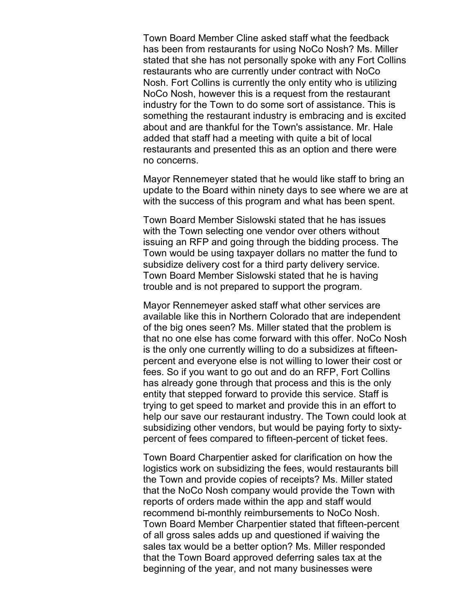Town Board Member Cline asked staff what the feedback has been from restaurants for using NoCo Nosh? Ms. Miller stated that she has not personally spoke with any Fort Collins restaurants who are currently under contract with NoCo Nosh. Fort Collins is currently the only entity who is utilizing NoCo Nosh, however this is a request from the restaurant industry for the Town to do some sort of assistance. This is something the restaurant industry is embracing and is excited about and are thankful for the Town's assistance. Mr. Hale added that staff had a meeting with quite a bit of local restaurants and presented this as an option and there were no concerns.

Mayor Rennemeyer stated that he would like staff to bring an update to the Board within ninety days to see where we are at with the success of this program and what has been spent.

Town Board Member Sislowski stated that he has issues with the Town selecting one vendor over others without issuing an RFP and going through the bidding process. The Town would be using taxpayer dollars no matter the fund to subsidize delivery cost for a third party delivery service. Town Board Member Sislowski stated that he is having trouble and is not prepared to support the program.

Mayor Rennemeyer asked staff what other services are available like this in Northern Colorado that are independent of the big ones seen? Ms. Miller stated that the problem is that no one else has come forward with this offer. NoCo Nosh is the only one currently willing to do a subsidizes at fifteenpercent and everyone else is not willing to lower their cost or fees. So if you want to go out and do an RFP, Fort Collins has already gone through that process and this is the only entity that stepped forward to provide this service. Staff is trying to get speed to market and provide this in an effort to help our save our restaurant industry. The Town could look at subsidizing other vendors, but would be paying forty to sixtypercent of fees compared to fifteen-percent of ticket fees.

Town Board Charpentier asked for clarification on how the logistics work on subsidizing the fees, would restaurants bill the Town and provide copies of receipts? Ms. Miller stated that the NoCo Nosh company would provide the Town with reports of orders made within the app and staff would recommend bi-monthly reimbursements to NoCo Nosh. Town Board Member Charpentier stated that fifteen-percent of all gross sales adds up and questioned if waiving the sales tax would be a better option? Ms. Miller responded that the Town Board approved deferring sales tax at the beginning of the year, and not many businesses were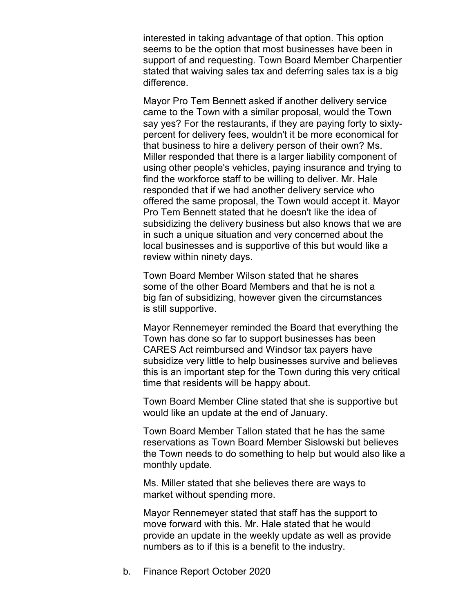interested in taking advantage of that option. This option seems to be the option that most businesses have been in support of and requesting. Town Board Member Charpentier stated that waiving sales tax and deferring sales tax is a big difference.

Mayor Pro Tem Bennett asked if another delivery service came to the Town with a similar proposal, would the Town say yes? For the restaurants, if they are paying forty to sixtypercent for delivery fees, wouldn't it be more economical for that business to hire a delivery person of their own? Ms. Miller responded that there is a larger liability component of using other people's vehicles, paying insurance and trying to find the workforce staff to be willing to deliver. Mr. Hale responded that if we had another delivery service who offered the same proposal, the Town would accept it. Mayor Pro Tem Bennett stated that he doesn't like the idea of subsidizing the delivery business but also knows that we are in such a unique situation and very concerned about the local businesses and is supportive of this but would like a review within ninety days.

Town Board Member Wilson stated that he shares some of the other Board Members and that he is not a big fan of subsidizing, however given the circumstances is still supportive.

Mayor Rennemeyer reminded the Board that everything the Town has done so far to support businesses has been CARES Act reimbursed and Windsor tax payers have subsidize very little to help businesses survive and believes this is an important step for the Town during this very critical time that residents will be happy about.

Town Board Member Cline stated that she is supportive but would like an update at the end of January.

Town Board Member Tallon stated that he has the same reservations as Town Board Member Sislowski but believes the Town needs to do something to help but would also like a monthly update.

Ms. Miller stated that she believes there are ways to market without spending more.

Mayor Rennemeyer stated that staff has the support to move forward with this. Mr. Hale stated that he would provide an update in the weekly update as well as provide numbers as to if this is a benefit to the industry.

b. Finance Report October 2020